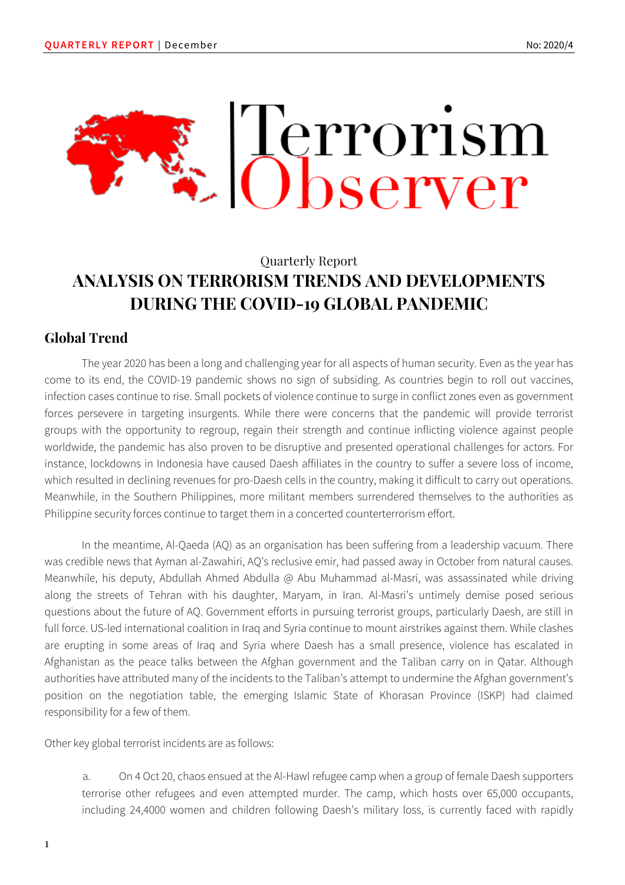

# Quarterly Report **ANALYSIS ON TERRORISM TRENDS AND DEVELOPMENTS DURING THE COVID-19 GLOBAL PANDEMIC**

## **Global Trend**

The year 2020 has been a long and challenging year for all aspects of human security. Even as the year has come to its end, the COVID-19 pandemic shows no sign of subsiding. As countries begin to roll out vaccines, infection cases continue to rise. Small pockets of violence continue to surge in conflict zones even as government forces persevere in targeting insurgents. While there were concerns that the pandemic will provide terrorist groups with the opportunity to regroup, regain their strength and continue inflicting violence against people worldwide, the pandemic has also proven to be disruptive and presented operational challenges for actors. For instance, lockdowns in Indonesia have caused Daesh affiliates in the country to suffer a severe loss of income, which resulted in declining revenues for pro-Daesh cells in the country, making it difficult to carry out operations. Meanwhile, in the Southern Philippines, more militant members surrendered themselves to the authorities as Philippine security forces continue to target them in a concerted counterterrorism effort.

In the meantime, Al-Qaeda (AQ) as an organisation has been suffering from a leadership vacuum. There was credible news that Ayman al-Zawahiri, AQ's reclusive emir, had passed away in October from natural causes. Meanwhile, his deputy, Abdullah Ahmed Abdulla @ Abu Muhammad al-Masri, was assassinated while driving along the streets of Tehran with his daughter, Maryam, in Iran. Al-Masri's untimely demise posed serious questions about the future of AQ. Government efforts in pursuing terrorist groups, particularly Daesh, are still in full force. US-led international coalition in Iraq and Syria continue to mount airstrikes against them. While clashes are erupting in some areas of Iraq and Syria where Daesh has a small presence, violence has escalated in Afghanistan as the peace talks between the Afghan government and the Taliban carry on in Qatar. Although authorities have attributed many of the incidents to the Taliban's attempt to undermine the Afghan government's position on the negotiation table, the emerging Islamic State of Khorasan Province (ISKP) had claimed responsibility for a few of them.

Other key global terrorist incidents are as follows:

a. On 4 Oct 20, chaos ensued at the Al-Hawl refugee camp when a group of female Daesh supporters terrorise other refugees and even attempted murder. The camp, which hosts over 65,000 occupants, including 24,4000 women and children following Daesh's military loss, is currently faced with rapidly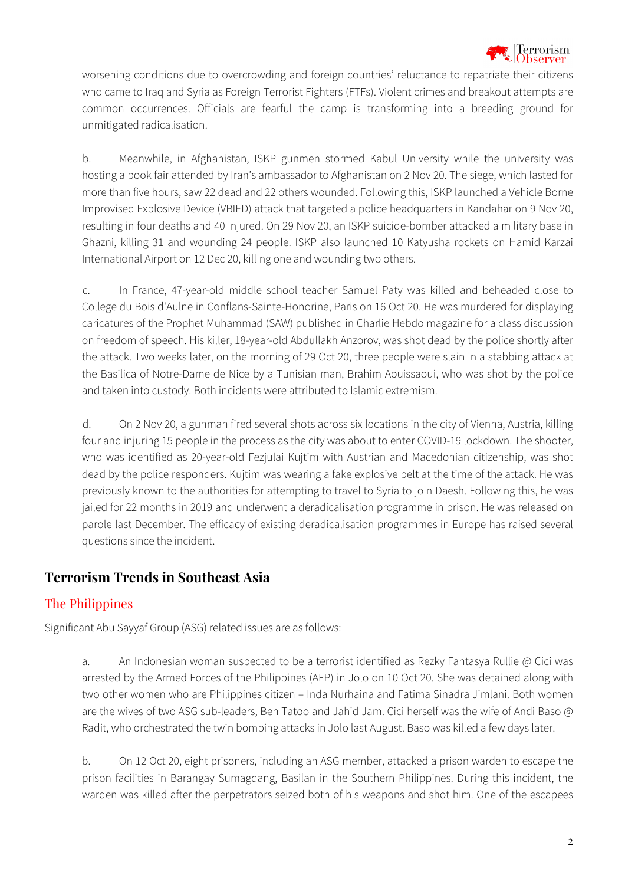

worsening conditions due to overcrowding and foreign countries' reluctance to repatriate their citizens who came to Iraq and Syria as Foreign Terrorist Fighters (FTFs). Violent crimes and breakout attempts are common occurrences. Officials are fearful the camp is transforming into a breeding ground for unmitigated radicalisation.

b. Meanwhile, in Afghanistan, ISKP gunmen stormed Kabul University while the university was hosting a book fair attended by Iran's ambassador to Afghanistan on 2 Nov 20. The siege, which lasted for more than five hours, saw 22 dead and 22 others wounded. Following this, ISKP launched a Vehicle Borne Improvised Explosive Device (VBIED) attack that targeted a police headquarters in Kandahar on 9 Nov 20, resulting in four deaths and 40 injured. On 29 Nov 20, an ISKP suicide-bomber attacked a military base in Ghazni, killing 31 and wounding 24 people. ISKP also launched 10 Katyusha rockets on Hamid Karzai International Airport on 12 Dec 20, killing one and wounding two others.

c. In France, 47-year-old middle school teacher Samuel Paty was killed and beheaded close to College du Bois d'Aulne in Conflans-Sainte-Honorine, Paris on 16 Oct 20. He was murdered for displaying caricatures of the Prophet Muhammad (SAW) published in Charlie Hebdo magazine for a class discussion on freedom of speech. His killer, 18-year-old Abdullakh Anzorov, was shot dead by the police shortly after the attack. Two weeks later, on the morning of 29 Oct 20, three people were slain in a stabbing attack at the Basilica of Notre-Dame de Nice by a Tunisian man, Brahim Aouissaoui, who was shot by the police and taken into custody. Both incidents were attributed to Islamic extremism.

d. On 2 Nov 20, a gunman fired several shots across six locations in the city of Vienna, Austria, killing four and injuring 15 people in the process as the city was about to enter COVID-19 lockdown. The shooter, who was identified as 20-year-old Fezjulai Kujtim with Austrian and Macedonian citizenship, was shot dead by the police responders. Kujtim was wearing a fake explosive belt at the time of the attack. He was previously known to the authorities for attempting to travel to Syria to join Daesh. Following this, he was jailed for 22 months in 2019 and underwent a deradicalisation programme in prison. He was released on parole last December. The efficacy of existing deradicalisation programmes in Europe has raised several questions since the incident.

## **Terrorism Trends in Southeast Asia**

## The Philippines

Significant Abu Sayyaf Group (ASG) related issues are as follows:

a. An Indonesian woman suspected to be a terrorist identified as Rezky Fantasya Rullie @ Cici was arrested by the Armed Forces of the Philippines (AFP) in Jolo on 10 Oct 20. She was detained along with two other women who are Philippines citizen – Inda Nurhaina and Fatima Sinadra Jimlani. Both women are the wives of two ASG sub-leaders, Ben Tatoo and Jahid Jam. Cici herself was the wife of Andi Baso @ Radit, who orchestrated the twin bombing attacks in Jolo last August. Baso was killed a few days later.

b. On 12 Oct 20, eight prisoners, including an ASG member, attacked a prison warden to escape the prison facilities in Barangay Sumagdang, Basilan in the Southern Philippines. During this incident, the warden was killed after the perpetrators seized both of his weapons and shot him. One of the escapees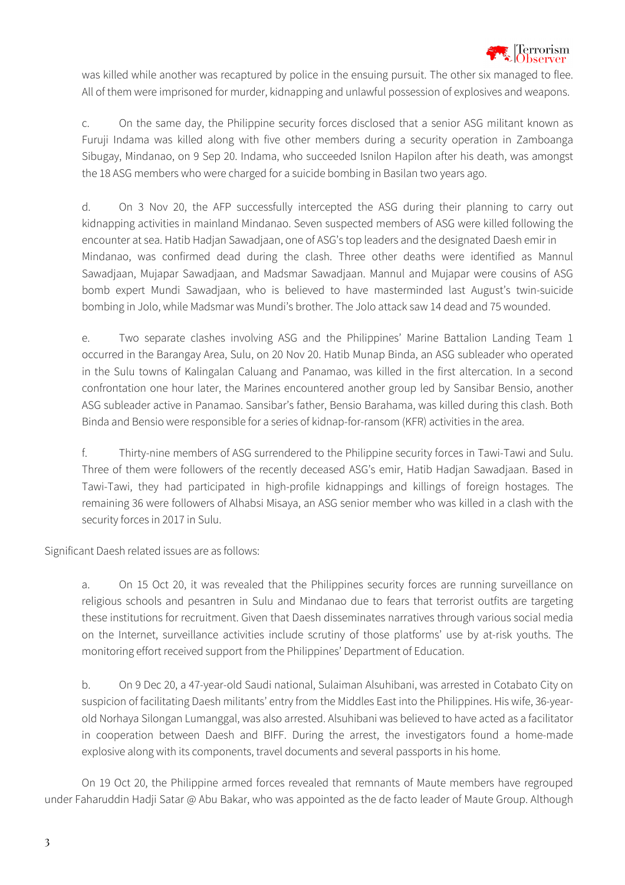

was killed while another was recaptured by police in the ensuing pursuit. The other six managed to flee. All of them were imprisoned for murder, kidnapping and unlawful possession of explosives and weapons.

c. On the same day, the Philippine security forces disclosed that a senior ASG militant known as Furuji Indama was killed along with five other members during a security operation in Zamboanga Sibugay, Mindanao, on 9 Sep 20. Indama, who succeeded Isnilon Hapilon after his death, was amongst the 18 ASG members who were charged for a suicide bombing in Basilan two years ago.

d. On 3 Nov 20, the AFP successfully intercepted the ASG during their planning to carry out kidnapping activities in mainland Mindanao. Seven suspected members of ASG were killed following the encounter at sea. Hatib Hadjan Sawadjaan, one of ASG's top leaders and the designated Daesh emir in Mindanao, was confirmed dead during the clash. Three other deaths were identified as Mannul Sawadjaan, Mujapar Sawadjaan, and Madsmar Sawadjaan. Mannul and Mujapar were cousins of ASG bomb expert Mundi Sawadjaan, who is believed to have masterminded last August's twin-suicide bombing in Jolo, while Madsmar was Mundi's brother. The Jolo attack saw 14 dead and 75 wounded.

e. Two separate clashes involving ASG and the Philippines' Marine Battalion Landing Team 1 occurred in the Barangay Area, Sulu, on 20 Nov 20. Hatib Munap Binda, an ASG subleader who operated in the Sulu towns of Kalingalan Caluang and Panamao, was killed in the first altercation. In a second confrontation one hour later, the Marines encountered another group led by Sansibar Bensio, another ASG subleader active in Panamao. Sansibar's father, Bensio Barahama, was killed during this clash. Both Binda and Bensio were responsible for a series of kidnap-for-ransom (KFR) activities in the area.

f. Thirty-nine members of ASG surrendered to the Philippine security forces in Tawi-Tawi and Sulu. Three of them were followers of the recently deceased ASG's emir, Hatib Hadjan Sawadjaan. Based in Tawi-Tawi, they had participated in high-profile kidnappings and killings of foreign hostages. The remaining 36 were followers of Alhabsi Misaya, an ASG senior member who was killed in a clash with the security forces in 2017 in Sulu.

Significant Daesh related issues are as follows:

a. On 15 Oct 20, it was revealed that the Philippines security forces are running surveillance on religious schools and pesantren in Sulu and Mindanao due to fears that terrorist outfits are targeting these institutions for recruitment. Given that Daesh disseminates narratives through various social media on the Internet, surveillance activities include scrutiny of those platforms' use by at-risk youths. The monitoring effort received support from the Philippines' Department of Education.

b. On 9 Dec 20, a 47-year-old Saudi national, Sulaiman Alsuhibani, was arrested in Cotabato City on suspicion of facilitating Daesh militants' entry from the Middles East into the Philippines. His wife, 36-yearold Norhaya Silongan Lumanggal, was also arrested. Alsuhibani was believed to have acted as a facilitator in cooperation between Daesh and BIFF. During the arrest, the investigators found a home-made explosive along with its components, travel documents and several passports in his home.

On 19 Oct 20, the Philippine armed forces revealed that remnants of Maute members have regrouped under Faharuddin Hadji Satar @ Abu Bakar, who was appointed as the de facto leader of Maute Group. Although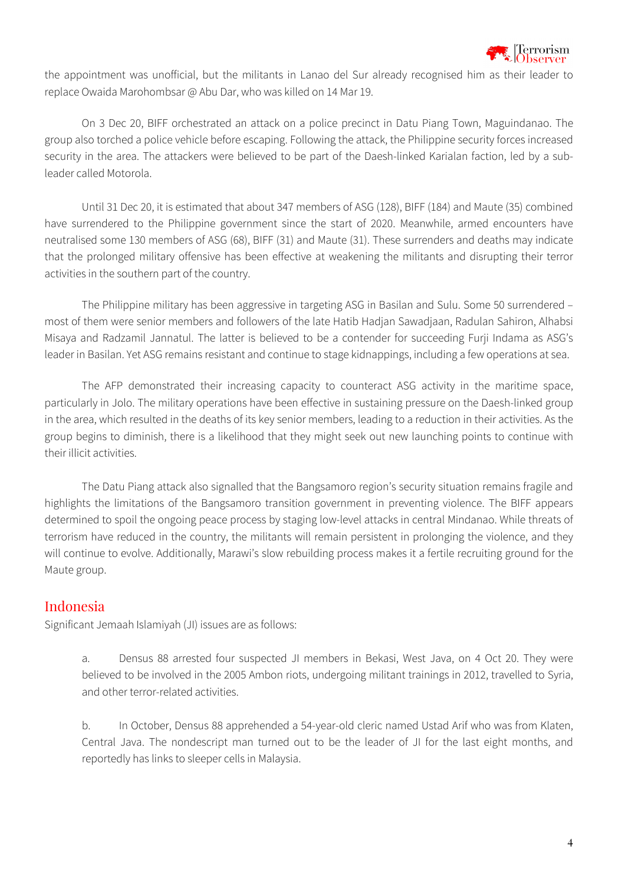

the appointment was unofficial, but the militants in Lanao del Sur already recognised him as their leader to replace Owaida Marohombsar @ Abu Dar, who was killed on 14 Mar 19.

On 3 Dec 20, BIFF orchestrated an attack on a police precinct in Datu Piang Town, Maguindanao. The group also torched a police vehicle before escaping. Following the attack, the Philippine security forces increased security in the area. The attackers were believed to be part of the Daesh-linked Karialan faction, led by a subleader called Motorola.

Until 31 Dec 20, it is estimated that about 347 members of ASG (128), BIFF (184) and Maute (35) combined have surrendered to the Philippine government since the start of 2020. Meanwhile, armed encounters have neutralised some 130 members of ASG (68), BIFF (31) and Maute (31). These surrenders and deaths may indicate that the prolonged military offensive has been effective at weakening the militants and disrupting their terror activities in the southern part of the country.

The Philippine military has been aggressive in targeting ASG in Basilan and Sulu. Some 50 surrendered – most of them were senior members and followers of the late Hatib Hadjan Sawadjaan, Radulan Sahiron, Alhabsi Misaya and Radzamil Jannatul. The latter is believed to be a contender for succeeding Furji Indama as ASG's leader in Basilan. Yet ASG remains resistant and continue to stage kidnappings, including a few operations at sea.

The AFP demonstrated their increasing capacity to counteract ASG activity in the maritime space, particularly in Jolo. The military operations have been effective in sustaining pressure on the Daesh-linked group in the area, which resulted in the deaths of its key senior members, leading to a reduction in their activities. As the group begins to diminish, there is a likelihood that they might seek out new launching points to continue with their illicit activities.

The Datu Piang attack also signalled that the Bangsamoro region's security situation remains fragile and highlights the limitations of the Bangsamoro transition government in preventing violence. The BIFF appears determined to spoil the ongoing peace process by staging low-level attacks in central Mindanao. While threats of terrorism have reduced in the country, the militants will remain persistent in prolonging the violence, and they will continue to evolve. Additionally, Marawi's slow rebuilding process makes it a fertile recruiting ground for the Maute group.

## Indonesia

Significant Jemaah Islamiyah (JI) issues are as follows:

a. Densus 88 arrested four suspected JI members in Bekasi, West Java, on 4 Oct 20. They were believed to be involved in the 2005 Ambon riots, undergoing militant trainings in 2012, travelled to Syria, and other terror-related activities.

b. In October, Densus 88 apprehended a 54-year-old cleric named Ustad Arif who was from Klaten, Central Java. The nondescript man turned out to be the leader of JI for the last eight months, and reportedly has links to sleeper cells in Malaysia.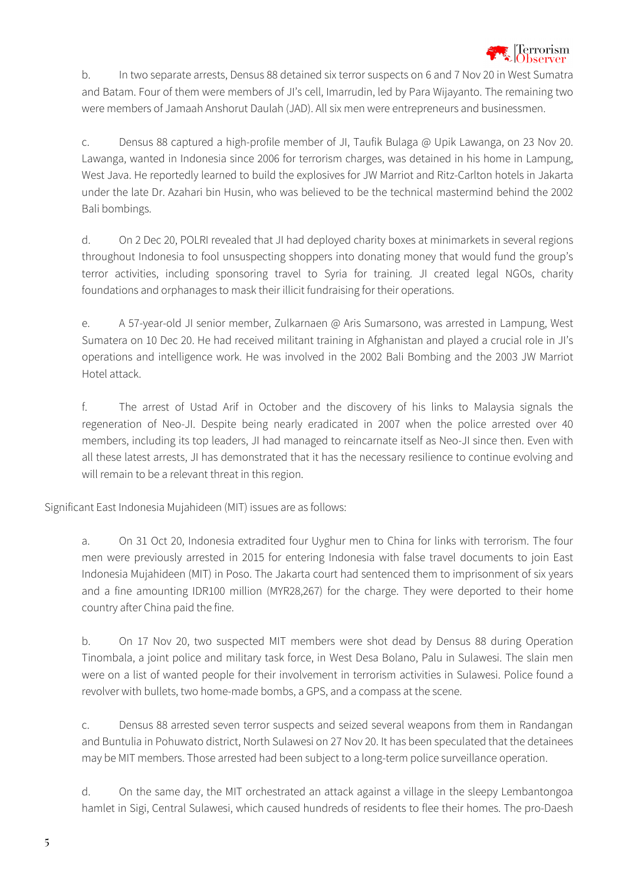

b. In two separate arrests, Densus 88 detained six terror suspects on 6 and 7 Nov 20 in West Sumatra and Batam. Four of them were members of JI's cell, Imarrudin, led by Para Wijayanto. The remaining two were members of Jamaah Anshorut Daulah (JAD). All six men were entrepreneurs and businessmen.

c. Densus 88 captured a high-profile member of JI, Taufik Bulaga @ Upik Lawanga, on 23 Nov 20. Lawanga, wanted in Indonesia since 2006 for terrorism charges, was detained in his home in Lampung, West Java. He reportedly learned to build the explosives for JW Marriot and Ritz-Carlton hotels in Jakarta under the late Dr. Azahari bin Husin, who was believed to be the technical mastermind behind the 2002 Bali bombings.

d. On 2 Dec 20, POLRI revealed that JI had deployed charity boxes at minimarkets in several regions throughout Indonesia to fool unsuspecting shoppers into donating money that would fund the group's terror activities, including sponsoring travel to Syria for training. JI created legal NGOs, charity foundations and orphanages to mask their illicit fundraising for their operations.

e. A 57-year-old JI senior member, Zulkarnaen @ Aris Sumarsono, was arrested in Lampung, West Sumatera on 10 Dec 20. He had received militant training in Afghanistan and played a crucial role in JI's operations and intelligence work. He was involved in the 2002 Bali Bombing and the 2003 JW Marriot Hotel attack.

f. The arrest of Ustad Arif in October and the discovery of his links to Malaysia signals the regeneration of Neo-JI. Despite being nearly eradicated in 2007 when the police arrested over 40 members, including its top leaders, JI had managed to reincarnate itself as Neo-JI since then. Even with all these latest arrests, JI has demonstrated that it has the necessary resilience to continue evolving and will remain to be a relevant threat in this region.

Significant East Indonesia Mujahideen (MIT) issues are as follows:

a. On 31 Oct 20, Indonesia extradited four Uyghur men to China for links with terrorism. The four men were previously arrested in 2015 for entering Indonesia with false travel documents to join East Indonesia Mujahideen (MIT) in Poso. The Jakarta court had sentenced them to imprisonment of six years and a fine amounting IDR100 million (MYR28,267) for the charge. They were deported to their home country after China paid the fine.

b. On 17 Nov 20, two suspected MIT members were shot dead by Densus 88 during Operation Tinombala, a joint police and military task force, in West Desa Bolano, Palu in Sulawesi. The slain men were on a list of wanted people for their involvement in terrorism activities in Sulawesi. Police found a revolver with bullets, two home-made bombs, a GPS, and a compass at the scene.

c. Densus 88 arrested seven terror suspects and seized several weapons from them in Randangan and Buntulia in Pohuwato district, North Sulawesi on 27 Nov 20. It has been speculated that the detainees may be MIT members. Those arrested had been subject to a long-term police surveillance operation.

d. On the same day, the MIT orchestrated an attack against a village in the sleepy Lembantongoa hamlet in Sigi, Central Sulawesi, which caused hundreds of residents to flee their homes. The pro-Daesh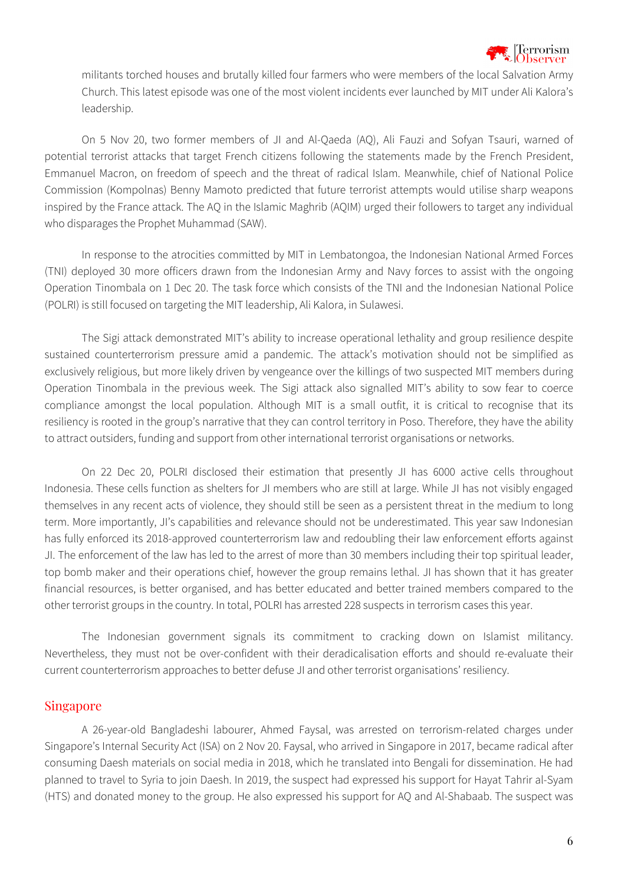

militants torched houses and brutally killed four farmers who were members of the local Salvation Army Church. This latest episode was one of the most violent incidents ever launched by MIT under Ali Kalora's leadership.

On 5 Nov 20, two former members of JI and Al-Qaeda (AQ), Ali Fauzi and Sofyan Tsauri, warned of potential terrorist attacks that target French citizens following the statements made by the French President, Emmanuel Macron, on freedom of speech and the threat of radical Islam. Meanwhile, chief of National Police Commission (Kompolnas) Benny Mamoto predicted that future terrorist attempts would utilise sharp weapons inspired by the France attack. The AQ in the Islamic Maghrib (AQIM) urged their followers to target any individual who disparages the Prophet Muhammad (SAW).

In response to the atrocities committed by MIT in Lembatongoa, the Indonesian National Armed Forces (TNI) deployed 30 more officers drawn from the Indonesian Army and Navy forces to assist with the ongoing Operation Tinombala on 1 Dec 20. The task force which consists of the TNI and the Indonesian National Police (POLRI) is still focused on targeting the MIT leadership, Ali Kalora, in Sulawesi.

The Sigi attack demonstrated MIT's ability to increase operational lethality and group resilience despite sustained counterterrorism pressure amid a pandemic. The attack's motivation should not be simplified as exclusively religious, but more likely driven by vengeance over the killings of two suspected MIT members during Operation Tinombala in the previous week. The Sigi attack also signalled MIT's ability to sow fear to coerce compliance amongst the local population. Although MIT is a small outfit, it is critical to recognise that its resiliency is rooted in the group's narrative that they can control territory in Poso. Therefore, they have the ability to attract outsiders, funding and support from other international terrorist organisations or networks.

On 22 Dec 20, POLRI disclosed their estimation that presently JI has 6000 active cells throughout Indonesia. These cells function as shelters for JI members who are still at large. While JI has not visibly engaged themselves in any recent acts of violence, they should still be seen as a persistent threat in the medium to long term. More importantly, JI's capabilities and relevance should not be underestimated. This year saw Indonesian has fully enforced its 2018-approved counterterrorism law and redoubling their law enforcement efforts against JI. The enforcement of the law has led to the arrest of more than 30 members including their top spiritual leader, top bomb maker and their operations chief, however the group remains lethal. JI has shown that it has greater financial resources, is better organised, and has better educated and better trained members compared to the other terrorist groups in the country. In total, POLRI has arrested 228 suspects in terrorism cases this year.

The Indonesian government signals its commitment to cracking down on Islamist militancy. Nevertheless, they must not be over-confident with their deradicalisation efforts and should re-evaluate their current counterterrorism approaches to better defuse JI and other terrorist organisations' resiliency.

#### Singapore

A 26-year-old Bangladeshi labourer, Ahmed Faysal, was arrested on terrorism-related charges under Singapore's Internal Security Act (ISA) on 2 Nov 20. Faysal, who arrived in Singapore in 2017, became radical after consuming Daesh materials on social media in 2018, which he translated into Bengali for dissemination. He had planned to travel to Syria to join Daesh. In 2019, the suspect had expressed his support for Hayat Tahrir al-Syam (HTS) and donated money to the group. He also expressed his support for AQ and Al-Shabaab. The suspect was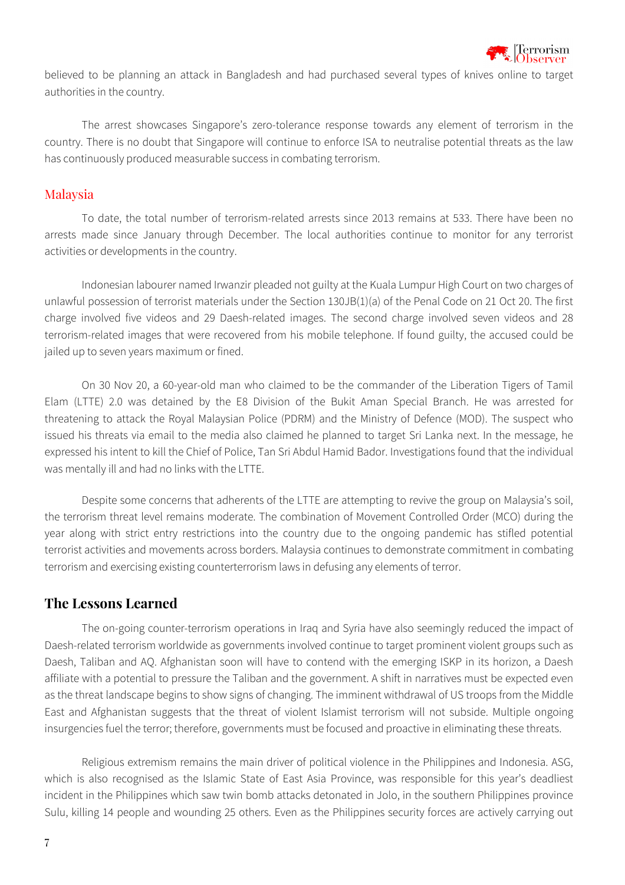

believed to be planning an attack in Bangladesh and had purchased several types of knives online to target authorities in the country.

The arrest showcases Singapore's zero-tolerance response towards any element of terrorism in the country. There is no doubt that Singapore will continue to enforce ISA to neutralise potential threats as the law has continuously produced measurable success in combating terrorism.

#### Malaysia

To date, the total number of terrorism-related arrests since 2013 remains at 533. There have been no arrests made since January through December. The local authorities continue to monitor for any terrorist activities or developments in the country.

Indonesian labourer named Irwanzir pleaded not guilty at the Kuala Lumpur High Court on two charges of unlawful possession of terrorist materials under the Section 130JB(1)(a) of the Penal Code on 21 Oct 20. The first charge involved five videos and 29 Daesh-related images. The second charge involved seven videos and 28 terrorism-related images that were recovered from his mobile telephone. If found guilty, the accused could be jailed up to seven years maximum or fined.

On 30 Nov 20, a 60-year-old man who claimed to be the commander of the Liberation Tigers of Tamil Elam (LTTE) 2.0 was detained by the E8 Division of the Bukit Aman Special Branch. He was arrested for threatening to attack the Royal Malaysian Police (PDRM) and the Ministry of Defence (MOD). The suspect who issued his threats via email to the media also claimed he planned to target Sri Lanka next. In the message, he expressed his intent to kill the Chief of Police, Tan Sri Abdul Hamid Bador. Investigations found that the individual was mentally ill and had no links with the LTTE.

Despite some concerns that adherents of the LTTE are attempting to revive the group on Malaysia's soil, the terrorism threat level remains moderate. The combination of Movement Controlled Order (MCO) during the year along with strict entry restrictions into the country due to the ongoing pandemic has stifled potential terrorist activities and movements across borders. Malaysia continues to demonstrate commitment in combating terrorism and exercising existing counterterrorism laws in defusing any elements of terror.

#### **The Lessons Learned**

The on-going counter-terrorism operations in Iraq and Syria have also seemingly reduced the impact of Daesh-related terrorism worldwide as governments involved continue to target prominent violent groups such as Daesh, Taliban and AQ. Afghanistan soon will have to contend with the emerging ISKP in its horizon, a Daesh affiliate with a potential to pressure the Taliban and the government. A shift in narratives must be expected even as the threat landscape begins to show signs of changing. The imminent withdrawal of US troops from the Middle East and Afghanistan suggests that the threat of violent Islamist terrorism will not subside. Multiple ongoing insurgencies fuel the terror; therefore, governments must be focused and proactive in eliminating these threats.

Religious extremism remains the main driver of political violence in the Philippines and Indonesia. ASG, which is also recognised as the Islamic State of East Asia Province, was responsible for this year's deadliest incident in the Philippines which saw twin bomb attacks detonated in Jolo, in the southern Philippines province Sulu, killing 14 people and wounding 25 others. Even as the Philippines security forces are actively carrying out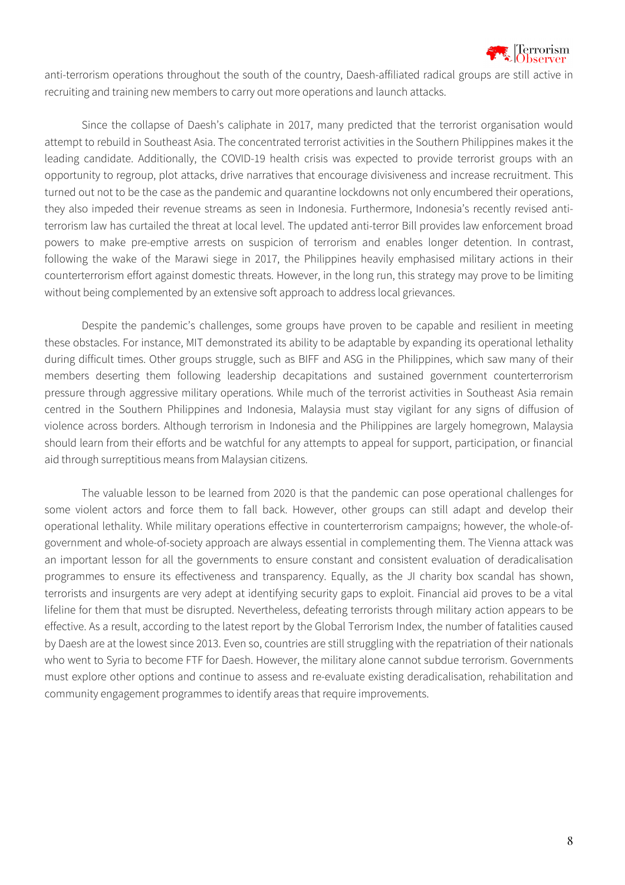

anti-terrorism operations throughout the south of the country, Daesh-affiliated radical groups are still active in recruiting and training new members to carry out more operations and launch attacks.

Since the collapse of Daesh's caliphate in 2017, many predicted that the terrorist organisation would attempt to rebuild in Southeast Asia. The concentrated terrorist activities in the Southern Philippines makes it the leading candidate. Additionally, the COVID-19 health crisis was expected to provide terrorist groups with an opportunity to regroup, plot attacks, drive narratives that encourage divisiveness and increase recruitment. This turned out not to be the case as the pandemic and quarantine lockdowns not only encumbered their operations, they also impeded their revenue streams as seen in Indonesia. Furthermore, Indonesia's recently revised antiterrorism law has curtailed the threat at local level. The updated anti-terror Bill provides law enforcement broad powers to make pre-emptive arrests on suspicion of terrorism and enables longer detention. In contrast, following the wake of the Marawi siege in 2017, the Philippines heavily emphasised military actions in their counterterrorism effort against domestic threats. However, in the long run, this strategy may prove to be limiting without being complemented by an extensive soft approach to address local grievances.

Despite the pandemic's challenges, some groups have proven to be capable and resilient in meeting these obstacles. For instance, MIT demonstrated its ability to be adaptable by expanding its operational lethality during difficult times. Other groups struggle, such as BIFF and ASG in the Philippines, which saw many of their members deserting them following leadership decapitations and sustained government counterterrorism pressure through aggressive military operations. While much of the terrorist activities in Southeast Asia remain centred in the Southern Philippines and Indonesia, Malaysia must stay vigilant for any signs of diffusion of violence across borders. Although terrorism in Indonesia and the Philippines are largely homegrown, Malaysia should learn from their efforts and be watchful for any attempts to appeal for support, participation, or financial aid through surreptitious means from Malaysian citizens.

The valuable lesson to be learned from 2020 is that the pandemic can pose operational challenges for some violent actors and force them to fall back. However, other groups can still adapt and develop their operational lethality. While military operations effective in counterterrorism campaigns; however, the whole-ofgovernment and whole-of-society approach are always essential in complementing them. The Vienna attack was an important lesson for all the governments to ensure constant and consistent evaluation of deradicalisation programmes to ensure its effectiveness and transparency. Equally, as the JI charity box scandal has shown, terrorists and insurgents are very adept at identifying security gaps to exploit. Financial aid proves to be a vital lifeline for them that must be disrupted. Nevertheless, defeating terrorists through military action appears to be effective. As a result, according to the latest report by the Global Terrorism Index, the number of fatalities caused by Daesh are at the lowest since 2013. Even so, countries are still struggling with the repatriation of their nationals who went to Syria to become FTF for Daesh. However, the military alone cannot subdue terrorism. Governments must explore other options and continue to assess and re-evaluate existing deradicalisation, rehabilitation and community engagement programmes to identify areas that require improvements.